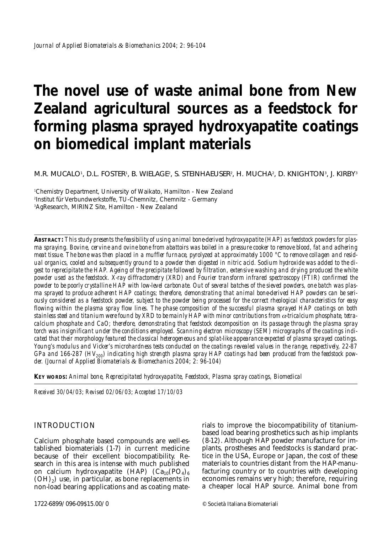# **The novel use of waste animal bone from New Zealand agricultural sources as a feedstock for forming plasma sprayed hydroxyapatite coatings on biomedical implant materials**

*M.R. MUCALO1 , D.L. FOSTER1 , B. WIELAGE2 , S. STEINHAEUSER2 , H. MUCHA2 , D. KNIGHTON3 , J. KIRBY3*

1 Chemistry Department, University of Waikato, Hamilton - New Zealand 2 Institut für Verbundwerkstoffe, TU-Chemnitz, Chemnitz - Germany 3 AgResearch, MIRINZ Site, Hamilton - New Zealand

**ABSTRACT:** *This study presents the feasibility of using animal bone-derived hydroxyapatite (HAP) as feedstock powders for plasma spraying. Bovine, cervine and ovine bone from abattoirs was boiled in a pressure cooker to remove blood, fat and adhering meat tissue. The bone was then placed in a muffler furnace, pyrolyzed at approximately 1000 °C to remove collagen and residual organics, cooled and subsequently ground to a powder then digested in nitric acid. Sodium hydroxide was added to the digest to reprecipitate the HAP. Ageing of the precipitate followed by filtration, extensive washing and drying produced the white powder used as the feedstock. X-ray diffractometry (XRD) and Fourier transform infrared spectroscopy (FTIR) confirmed the powder to be poorly crystalline HAP with low-level carbonate. Out of several batches of the sieved powders, one batch was plasma sprayed to produce adherent HAP coatings; therefore, demonstrating that animal bone-derived HAP powders can be seriously considered as a feedstock powder, subject to the powder being processed for the correct rheological characteristics for easy flowing within the plasma spray flow lines. The phase composition of the successful plasma sprayed HAP coatings on both stainless steel and titanium were found by XRD to be mainly HAP with minor contributions from* α*-tricalcium phosphate, tetracalcium phosphate and CaO; therefore, demonstrating that feedstock decomposition on its passage through the plasma spray torch was insignificant under the conditions employed. Scanning electron microscopy (SEM) micrographs of the coatings indicated that their morphology featured the classical heterogeneous and splat-like appearance expected of plasma sprayed coatings. Young's modulus and Vicker's microhardness tests conducted on the coatings revealed values in the range, respectively, 22-87* GPa and 166-287 (HV<sub>200</sub>) indicating high strength plasma spray HAP coatings had been produced from the feedstock pow*der. (Journal of Applied Biomaterials & Biomechanics 2004; 2: 96-104)*

**KEY WORDS:** *Animal bone, Reprecipitated hydroxyapatite, Feedstock, Plasma spray coatings, Biomedical*

*Received 30/04/03; Revised 02/06/03; Accepted 17/10/03*

## INTRODUCTION

Calcium phosphate based compounds are well-established biomaterials (1-7) in current medicine because of their excellent biocompatibility. Research in this area is intense with much published on calcium hydroxyapatite (HAP)  $(Ca_{10}(PO_4)_6)$  $(OH)<sub>2</sub>$ ) use, in particular, as bone replacements in non-load bearing applications and as coating materials to improve the biocompatibility of titaniumbased load bearing prosthetics such as hip implants (8-12). Although HAP powder manufacture for implants, prostheses and feedstocks is standard practice in the USA, Europe or Japan, the cost of these materials to countries distant from the HAP-manufacturing country or to countries with developing economies remains very high; therefore, requiring a cheaper local HAP source. Animal bone from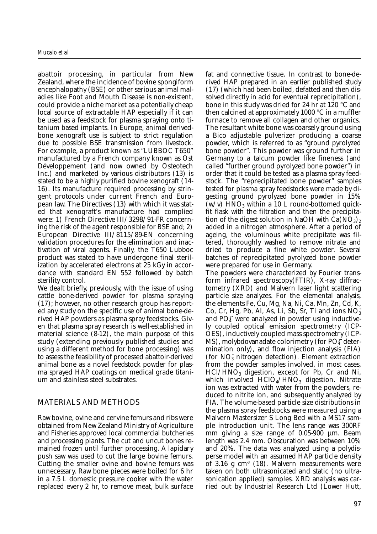abattoir processing, in particular from New Zealand, where the incidence of bovine spongiform encephalopathy (BSE) or other serious animal maladies like Foot and Mouth Disease is non-existent, could provide a niche market as a potentially cheap local source of extractable HAP especially if it can be used as a feedstock for plasma spraying onto titanium based implants. In Europe, animal derivedbone xenograft use is subject to strict regulation due to possible BSE transmission from livestock. For example, a product known as "LUBBOC T650" manufactured by a French company known as Ost Développement (and now owned by Osteotech Inc.) and marketed by various distributors (13) is stated to be a highly purified bovine xenograft (14- 16). Its manufacture required processing by stringent protocols under current French and European law. The Directives (13) with which it was stated that xenograft's manufacture had complied were: 1) French Directive III/3298/91-FR concerning the risk of the agent responsible for BSE and; 2) European Directive III/8115/89-EN concerning validation procedures for the elimination and inactivation of viral agents. Finally, the T650 Lubboc product was stated to have undergone final sterilization by accelerated electrons at 25 kGy in accordance with standard EN 552 followed by batch sterility control.

We dealt briefly, previously, with the issue of using cattle bone-derived powder for plasma spraying (17); however, no other research group has reported any study on the specific use of animal bone-derived HAP powders as plasma spray feedstocks. Given that plasma spray research is well-established in material science (8-12), the main purpose of this study (extending previously published studies and using a different method for bone processing) was to assess the feasibility of processed abattoir-derived animal bone as a novel feedstock powder for plasma sprayed HAP coatings on medical grade titanium and stainless steel substrates.

## MATERIALS AND METHODS

Raw bovine, ovine and cervine femurs and ribs were obtained from New Zealand Ministry of Agriculture and Fisheries approved local commercial butcheries and processing plants. The cut and uncut bones remained frozen until further processing. A lapidary push saw was used to cut the large bovine femurs. Cutting the smaller ovine and bovine femurs was unnecessary. Raw bone pieces were boiled for 6 hr in a 7.5 L domestic pressure cooker with the water replaced every 2 hr, to remove meat, bulk surface

fat and connective tissue. In contrast to bone-derived HAP prepared in an earlier published study (17) (which had been boiled, defatted and then dissolved directly in acid for eventual reprecipitation), bone in this study was dried for 24 hr at 120 °C and then calcined at approximately 1000 °C in a muffler furnace to remove all collagen and other organics. The resultant white bone was coarsely ground using a Bico adjustable pulverizer producing a coarse powder, which is referred to as "ground pyrolyzed bone powder". This powder was ground further in Germany to a talcum powder like fineness (and called "further ground pyrolyzed bone powder") in order that it could be tested as a plasma spray feedstock. The "reprecipitated bone powder" samples tested for plasma spray feedstocks were made by digesting ground pyrolyzed bone powder in 15%  $(w/v)$  HNO<sub>3</sub> within a 10 L round-bottomed quickfit flask with the filtration and then the precipitation of the digest solution in NaOH with  $Ca(NO<sub>3</sub>)<sub>2</sub>$ added in a nitrogen atmosphere. After a period of ageing, the voluminous white precipitate was filtered, thoroughly washed to remove nitrate and dried to produce a fine white powder. Several batches of reprecipitated pyrolyzed bone powder were prepared for use in Germany.

The powders were characterized by Fourier transform infrared spectroscopy(FTIR), X-ray diffractometry (XRD) and Malvern laser light scattering particle size analyzes. For the elemental analysis, the elements Fe, Cu, Mg, Na, Ni, Ca, Mn, Zn, Cd, K, Co, Cr, Hg, Pb, Al, As, Li, Sb, Sr, Ti and ions  $NO<sub>3</sub>$ and PO<sub>4</sub><sup>2</sup> were analyzed in powder using inductively coupled optical emission spectrometry (ICP-OES), inductively coupled mass spectrometry (ICP- $MS$ ), molybdovanadate colorimetry (for PO $_4^3$  determination only), and flow injection analysis (FIA) (for NO<sub>3</sub> nitrogen detection). Element extraction from the powder samples involved, in most cases,  $HC1/HNO<sub>3</sub>$  digestion, except for Pb, Cr and Ni, which involved  $HClO<sub>4</sub>/HNO<sub>3</sub>$  digestion. Nitrate ion was extracted with water from the powders, reduced to nitrite ion, and subsequently analyzed by FIA. The volume-based particle size distributions in the plasma spray feedstocks were measured using a Malvern Mastersizer S Long Bed with a MS17 sample introduction unit. The lens range was 300RF mm giving a size range of 0.05-900 µm. Beam length was 2.4 mm. Obscuration was between 10% and 20%. The data was analyzed using a polydisperse model with an assumed HAP particle density of 3.16 g  $\text{cm}^3$  (18). Malvern measurements were taken on both ultrasonicated and static (no ultrasonication applied) samples. XRD analysis was carried out by Industrial Research Ltd (Lower Hutt,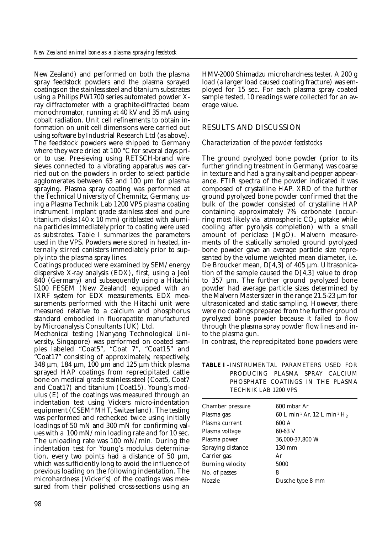New Zealand) and performed on both the plasma spray feedstock powders and the plasma sprayed coatings on the stainless steel and titanium substrates using a Philips PW1700 series automated powder Xray diffractometer with a graphite-diffracted beam monochromator, running at 40 kV and 35 mA using cobalt radiation. Unit cell refinements to obtain information on unit cell dimensions were carried out using software by Industrial Research Ltd (as above). The feedstock powders were shipped to Germany where they were dried at 100 °C for several days prior to use. Pre-sieving using RETSCH-brand wire sieves connected to a vibrating apparatus was carried out on the powders in order to select particle agglomerates between 63 and 100 µm for plasma spraying. Plasma spray coating was performed at the Technical University of Chemnitz, Germany, using a Plasma Technik Lab 1200 VPS plasma coating instrument. Implant grade stainless steel and pure titanium disks  $(40 \times 10 \text{ mm})$  gritblasted with alumina particles immediately prior to coating were used as substrates. Table I summarizes the parameters used in the VPS. Powders were stored in heated, internally stirred canisters immediately prior to supply into the plasma spray lines.

Coatings produced were examined by SEM/energy dispersive X-ray analysis (EDX), first, using a Jeol 840 (Germany) and subsequently using a Hitachi S100 FESEM (New Zealand) equipped with an IXRF system for EDX measurements. EDX measurements performed with the Hitachi unit were measured relative to a calcium and phosphorus standard embodied in fluorapatite manufactured by Microanalysis Consultants (UK) Ltd.

Mechanical testing (Nanyang Technological University, Singapore) was performed on coated samples labeled "Coat5", "Coat 7", "Coat15" and "Coat17" consisting of approximately, respectively, 348 µm, 184 µm, 100 µm and 125 µm thick plasma sprayed HAP coatings from reprecipitated cattle bone on medical grade stainless steel (Coat5, Coat7 and Coat17) and titanium (Coat15). Young's modulus (E) of the coatings was measured through an indentation test using Vickers micro-indentation equipment (CSEM® MHT, Switzerland). The testing was performed and rechecked twice using initially loadings of 50 mN and 300 mN for confirming values with a 100 mN/min loading rate and for 10 sec. The unloading rate was 100 mN/min. During the indentation test for Young's modulus determination, every two points had a distance of 50  $\mu$ m, which was sufficiently long to avoid the influence of previous loading on the following indentation. The microhardness (Vicker's) of the coatings was measured from their polished cross-sections using an

HMV-2000 Shimadzu microhardness tester. A 200 g load (a larger load caused coating fracture) was employed for 15 sec. For each plasma spray coated sample tested, 10 readings were collected for an average value.

# RESULTS AND DISCUSSION

## *Characterization of the powder feedstocks*

The ground pyrolyzed bone powder (prior to its further grinding treatment in Germany) was coarse in texture and had a grainy salt-and-pepper appearance. FTIR spectra of the powder indicated it was composed of crystalline HAP. XRD of the further ground pyrolyzed bone powder confirmed that the bulk of the powder consisted of crystalline HAP containing approximately 7% carbonate (occurring most likely via atmospheric  $CO<sub>2</sub>$  uptake while cooling after pyrolysis completion) with a small amount of periclase (MgO). Malvern measurements of the statically sampled ground pyrolyzed bone powder gave an average particle size represented by the volume weighted mean diameter, i.e. De Broucker mean, D[4,3] of 405 µm. Ultrasonication of the sample caused the  $D[4,3]$  value to drop to 357 µm. The further ground pyrolyzed bone powder had average particle sizes determined by the Malvern Mastersizer in the range 21.5-23 µm for ultrasonicated and static sampling. However, there were no coatings prepared from the further ground pyrolyzed bone powder because it failed to flow through the plasma spray powder flow lines and into the plasma gun.

In contrast, the reprecipitated bone powders were

#### **TABLE I -** INSTRUMENTAL PARAMETERS USED FOR PRODUCING PLASMA SPRAY CALCIUM PHOSPHATE COATINGS IN THE PLASMA TECHNIK LAB 1200 VPS

| Chamber pressure        | 600 mbar Ar                                                      |
|-------------------------|------------------------------------------------------------------|
| Plasma gas              | 60 L min <sup>-1</sup> Ar, 12 L min <sup>-1</sup> H <sub>2</sub> |
| Plasma current          | 600 A                                                            |
| Plasma voltage          | 60-63 V                                                          |
| Plasma power            | 36,000-37,800 W                                                  |
| Spraying distance       | $130 \text{ mm}$                                                 |
| Carrier gas             | Ar                                                               |
| <b>Burning velocity</b> | 5000                                                             |
| No. of passes           | 8                                                                |
| <b>Nozzle</b>           | Dusche type 8 mm                                                 |
|                         |                                                                  |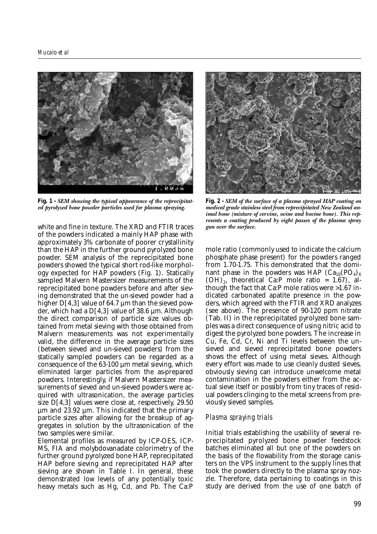

**Fig. 1 -** *SEM showing the typical appearance of the reprecipitated pyrolyzed bone powder particles used for plasma spraying.*

white and fine in texture. The XRD and FTIR traces of the powders indicated a mainly HAP phase with approximately 3% carbonate of poorer crystallinity than the HAP in the further ground pyrolyzed bone powder. SEM analysis of the reprecipitated bone powders showed the typical short rod-like morphology expected for HAP powders (Fig. 1). Statically sampled Malvern Mastersizer measurements of the reprecipitated bone powders before and after sieving demonstrated that the un-sieved powder had a higher  $D[4,3]$  value of 64.7  $\mu$ m than the sieved powder, which had a  $D[4,3]$  value of 38.6 µm. Although the direct comparison of particle size values obtained from metal sieving with those obtained from Malvern measurements was not experimentally valid, the difference in the average particle sizes (between sieved and un-sieved powders) from the statically sampled powders can be regarded as a consequence of the 63-100 µm metal sieving, which eliminated larger particles from the as-prepared powders. Interestingly, if Malvern Mastersizer measurements of sieved and un-sieved powders were acquired with ultrasonication, the average particles size D[4,3] values were close at, respectively, 29.50  $\mu$ m and 23.92  $\mu$ m. This indicated that the primary particle sizes after allowing for the breakup of aggregates in solution by the ultrasonication of the two samples were similar.

Elemental profiles as measured by ICP-OES, ICP-MS, FIA and molybdovanadate colorimetry of the further ground pyrolyzed bone HAP, reprecipitated HAP before sieving and reprecipitated HAP after sieving are shown in Table I. In general, these demonstrated low levels of any potentially toxic heavy metals such as Hg, Cd, and Pb. The Ca:P



**Fig. 2 -** *SEM of the surface of a plasma sprayed HAP coating on medical grade stainless steel from reprecipitated New Zealand animal bone (mixture of cervine, ovine and bovine bone). This represents a coating produced by eight passes of the plasma spray gun over the surface.* 

mole ratio (commonly used to indicate the calcium phosphate phase present) for the powders ranged from 1.70-1.75. This demonstrated that the dominant phase in the powders was HAP  $(Ca_{10}(PO_4)_6)$  $(OH)_2$ , theoretical Ca:P mole ratio = 1.67), although the fact that Ca:P mole ratios were >1.67 indicated carbonated apatite presence in the powders, which agreed with the FTIR and XRD analyzes (see above). The presence of 90-120 ppm nitrate (Tab. II) in the reprecipitated pyrolyzed bone samples was a direct consequence of using nitric acid to digest the pyrolyzed bone powders. The increase in Cu, Fe, Cd, Cr, Ni and Ti levels between the unsieved and sieved reprecipitated bone powders shows the effect of using metal sieves. Although every effort was made to use cleanly dusted sieves, obviously sieving can introduce unwelcome metal contamination in the powders either from the actual sieve itself or possibly from tiny traces of residual powders clinging to the metal screens from previously sieved samples.

#### *Plasma spraying trials*

Initial trials establishing the usability of several reprecipitated pyrolyzed bone powder feedstock batches eliminated all but one of the powders on the basis of the flowability from the storage canisters on the VPS instrument to the supply lines that took the powders directly to the plasma spray nozzle. Therefore, data pertaining to coatings in this study are derived from the use of one batch of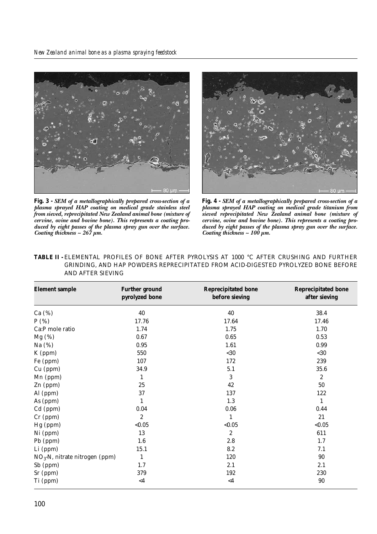



**Fig. 3 -** *SEM of a metallographically prepared cross-section of a plasma sprayed HAP coating on medical grade stainless steel from sieved, reprecipitated New Zealand animal bone (mixture of cervine, ovine and bovine bone). This represents a coating produced by eight passes of the plasma spray gun over the surface. Coating thickness ~ 267 µm.*

**Fig. 4 -** *SEM of a metallographically prepared cross-section of a plasma sprayed HAP coating on medical grade titanium from sieved reprecipitated New Zealand animal bone (mixture of cervine, ovine and bovine bone). This represents a coating produced by eight passes of the plasma spray gun over the surface. Coating thickness ~ 100 µm.*

| AND AFTER SIEVING                |                                         |                                              |                                             |  |  |  |  |  |
|----------------------------------|-----------------------------------------|----------------------------------------------|---------------------------------------------|--|--|--|--|--|
| <b>Element sample</b>            | <b>Further ground</b><br>pyrolyzed bone | <b>Reprecipitated bone</b><br>before sieving | <b>Reprecipitated bone</b><br>after sieving |  |  |  |  |  |
| Ca $(\%)$                        | 40                                      | 40                                           | 38.4                                        |  |  |  |  |  |
| P(%)                             | 17.76                                   | 17.64                                        | 17.46                                       |  |  |  |  |  |
| Ca:P mole ratio                  | 1.74                                    | 1.75                                         | 1.70                                        |  |  |  |  |  |
| $Mg$ (%)                         | 0.67                                    | 0.65                                         | 0.53                                        |  |  |  |  |  |
| Na (%)                           | 0.95                                    | 1.61                                         | 0.99                                        |  |  |  |  |  |
| K (ppm)                          | 550                                     | $30$                                         | $30$                                        |  |  |  |  |  |
| Fe (ppm)                         | 107                                     | 172                                          | 239                                         |  |  |  |  |  |
| Cu (ppm)                         | 34.9                                    | 5.1                                          | 35.6                                        |  |  |  |  |  |
| Mn (ppm)                         | 1                                       | 3                                            | $\sqrt{2}$                                  |  |  |  |  |  |
| Zn (ppm)                         | 25                                      | 42                                           | 50                                          |  |  |  |  |  |
| Al (ppm)                         | 37                                      | 137                                          | 122                                         |  |  |  |  |  |
| As (ppm)                         | $\mathbf{1}$                            | 1.3                                          | $\mathbf{1}$                                |  |  |  |  |  |
| Cd (ppm)                         | 0.04                                    | 0.06                                         | 0.44                                        |  |  |  |  |  |
| $Cr$ (ppm)                       | $\boldsymbol{2}$                        | 1                                            | 21                                          |  |  |  |  |  |
| Hg (ppm)                         | < 0.05                                  | < 0.05                                       | < 0.05                                      |  |  |  |  |  |
| Ni (ppm)                         | 13                                      | $\boldsymbol{2}$                             | 611                                         |  |  |  |  |  |
| Pb (ppm)                         | 1.6                                     | 2.8                                          | 1.7                                         |  |  |  |  |  |
| Li (ppm)                         | 15.1                                    | 8.2                                          | 7.1                                         |  |  |  |  |  |
| $NO3$ -N, nitrate nitrogen (ppm) | $\mathbf{1}$                            | 120                                          | 90                                          |  |  |  |  |  |
| Sb (ppm)                         | 1.7                                     | 2.1                                          | 2.1                                         |  |  |  |  |  |
| Sr (ppm)                         | 379                                     | 192                                          | 230                                         |  |  |  |  |  |
| Ti (ppm)                         | $<4$                                    | $<4\,$                                       | 90                                          |  |  |  |  |  |

| TABLE II - ELEMENTAL PROFILES OF BONE AFTER PYROLYSIS AT 1000 °C AFTER CRUSHING AND FURTHER |  |  |  |  |  |  |
|---------------------------------------------------------------------------------------------|--|--|--|--|--|--|
| GRINDING. AND HAP POWDERS REPRECIPITATED FROM ACID-DIGESTED PYROLYZED BONE BEFORE           |  |  |  |  |  |  |
| AND AFTER SIEVING                                                                           |  |  |  |  |  |  |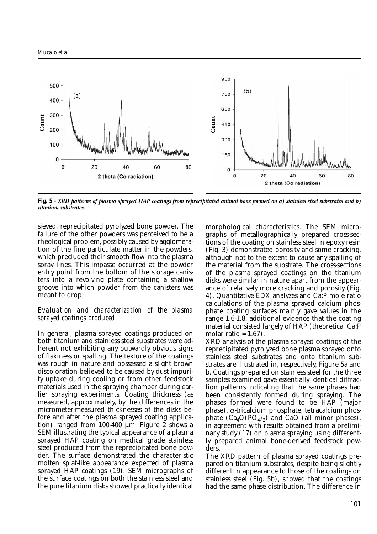

**Fig. 5 -** *XRD patterns of plasma sprayed HAP coatings from reprecipitated animal bone formed on a) stainless steel substrates and b)*

sieved, reprecipitated pyrolyzed bone powder. The failure of the other powders was perceived to be a rheological problem, possibly caused by agglomeration of the fine particulate matter in the powders, which precluded their smooth flow into the plasma spray lines. This impasse occurred at the powder entry point from the bottom of the storage canisters into a revolving plate containing a shallow groove into which powder from the canisters was meant to drop.

### *Evaluation and characterization of the plasma sprayed coatings produced*

In general, plasma sprayed coatings produced on both titanium and stainless steel substrates were adherent not exhibiting any outwardly obvious signs of flakiness or spalling. The texture of the coatings was rough in nature and possessed a slight brown discoloration believed to be caused by dust impurity uptake during cooling or from other feedstock materials used in the spraying chamber during earlier spraying experiments. Coating thickness (as measured, approximately, by the differences in the micrometer-measured thicknesses of the disks before and after the plasma sprayed coating application) ranged from 100-400 µm. Figure 2 shows a SEM illustrating the typical appearance of a plasma sprayed HAP coating on medical grade stainless steel produced from the reprecipitated bone powder. The surface demonstrated the characteristic molten splat-like appearance expected of plasma sprayed HAP coatings (19). SEM micrographs of the surface coatings on both the stainless steel and the pure titanium disks showed practically identical

morphological characteristics. The SEM micrographs of metallographically prepared cross-sections of the coating on stainless steel in epoxy resin (Fig. 3) demonstrated porosity and some cracking, although not to the extent to cause any spalling of the material from the substrate. The cross-sections of the plasma sprayed coatings on the titanium disks were similar in nature apart from the appearance of relatively more cracking and porosity (Fig. 4). Quantitative EDX analyzes and Ca:P mole ratio calculations of the plasma sprayed calcium phosphate coating surfaces mainly gave values in the range 1.6-1.8, additional evidence that the coating material consisted largely of HAP (theoretical Ca:P molar ratio =  $1.67$ ).

XRD analysis of the plasma sprayed coatings of the reprecipitated pyrolyzed bone plasma sprayed onto stainless steel substrates and onto titanium substrates are illustrated in, respectively, Figure 5a and b. Coatings prepared on stainless steel for the three samples examined gave essentially identical diffraction patterns indicating that the same phases had been consistently formed during spraying. The phases formed were found to be HAP (major phase),  $\alpha$ -tricalcium phosphate, tetracalcium phosphate  $(Ca_4O(PO_4)_2)$  and CaO (all minor phases), in agreement with results obtained from a preliminary study (17) on plasma spraying using differently prepared animal bone-derived feedstock powders.

The XRD pattern of plasma sprayed coatings prepared on titanium substrates, despite being slightly different in appearance to those of the coatings on stainless steel (Fig. 5b), showed that the coatings had the same phase distribution. The difference in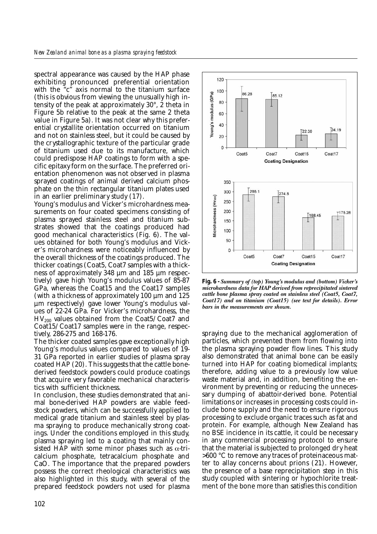spectral appearance was caused by the HAP phase exhibiting pronounced preferential orientation with the "c" axis normal to the titanium surface (this is obvious from viewing the unusually high intensity of the peak at approximately 30°, 2 theta in Figure 5b relative to the peak at the same 2 theta value in Figure 5a). It was not clear why this preferential crystallite orientation occurred on titanium and not on stainless steel, but it could be caused by the crystallographic texture of the particular grade of titanium used due to its manufacture, which could predispose HAP coatings to form with a specific epitaxy form on the surface. The preferred orientation phenomenon was not observed in plasma sprayed coatings of animal derived calcium phosphate on the thin rectangular titanium plates used in an earlier preliminary study (17).

Young's modulus and Vicker's microhardness measurements on four coated specimens consisting of plasma sprayed stainless steel and titanium substrates showed that the coatings produced had good mechanical characteristics (Fig. 6). The values obtained for both Young's modulus and Vicker's microhardness were noticeably influenced by the overall thickness of the coatings produced. The thicker coatings (Coat5, Coat7 samples with a thickness of approximately 348 µm and 185 µm respectively) gave high Young's modulus values of 85-87 GPa, whereas the Coat15 and the Coat17 samples (with a thickness of approximately 100 µm and 125 µm respectively) gave lower Young's modulus values of 22-24 GPa. For Vicker's microhardness, the  $HV<sub>200</sub>$  values obtained from the Coat5/Coat7 and Coat15/Coat17 samples were in the range, respectively, 286-275 and 168-176.

The thicker coated samples gave exceptionally high Young's modulus values compared to values of 19- 31 GPa reported in earlier studies of plasma spray coated HAP (20). This suggests that the cattle bonederived feedstock powders could produce coatings that acquire very favorable mechanical characteristics with sufficient thickness.

In conclusion, these studies demonstrated that animal bone-derived HAP powders are viable feedstock powders, which can be successfully applied to medical grade titanium and stainless steel by plasma spraying to produce mechanically strong coatings. Under the conditions employed in this study, plasma spraying led to a coating that mainly consisted HAP with some minor phases such as  $\alpha$ -tricalcium phosphate, tetracalcium phosphate and CaO. The importance that the prepared powders possess the correct rheological characteristics was also highlighted in this study, with several of the prepared feedstock powders not used for plasma



**Fig. 6 -** *Summary of (top) Young's modulus and (bottom) Vicker's microhardness data for HAP derived from reprecipitated sintered cattle bone plasma spray coated on stainless steel (Coat5, Coat7, Coat17) and on titanium (Coat15) (see text for details). Error bars in the measurements are shown.* 

spraying due to the mechanical agglomeration of particles, which prevented them from flowing into the plasma spraying powder flow lines. This study also demonstrated that animal bone can be easily turned into HAP for coating biomedical implants; therefore, adding value to a previously low value waste material and, in addition, benefiting the environment by preventing or reducing the unnecessary dumping of abattoir-derived bone. Potential limitations or increases in processing costs could include bone supply and the need to ensure rigorous processing to exclude organic traces such as fat and protein. For example, although New Zealand has no BSE incidence in its cattle, it could be necessary in any commercial processing protocol to ensure that the material is subjected to prolonged dry heat >600 °C to remove any traces of proteinaceous matter to allay concerns about prions (21). However, the presence of a base reprecipitation step in this study coupled with sintering or hypochlorite treatment of the bone more than satisfies this condition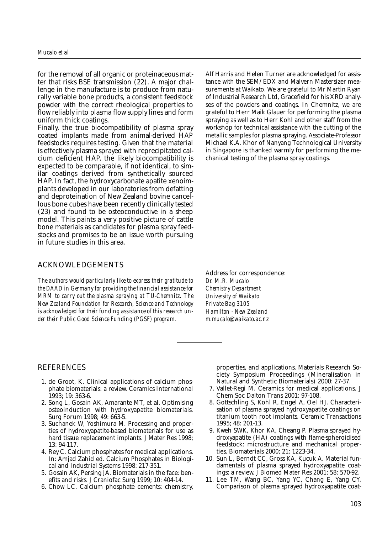for the removal of all organic or proteinaceous matter that risks BSE transmission (22). A major challenge in the manufacture is to produce from naturally variable bone products, a consistent feedstock powder with the correct rheological properties to flow reliably into plasma flow supply lines and form uniform thick coatings.

Finally, the true biocompatibility of plasma spray coated implants made from animal-derived HAP feedstocks requires testing. Given that the material is effectively plasma sprayed with reprecipitated calcium deficient HAP, the likely biocompatibility is expected to be comparable, if not identical, to similar coatings derived from synthetically sourced HAP. In fact, the hydroxycarbonate apatite xenoimplants developed in our laboratories from defatting and deproteination of New Zealand bovine cancellous bone cubes have been recently clinically tested (23) and found to be osteoconductive in a sheep model. This paints a very positive picture of cattle bone materials as candidates for plasma spray feedstocks and promises to be an issue worth pursuing in future studies in this area.

#### ACKNOWLEDGEMENTS

*The authors would particularly like to express their gratitude to the DAAD in Germany for providing the financial assistance for MRM to carry out the plasma spraying at TU-Chemnitz. The New Zealand Foundation for Research, Science and Technology is acknowledged for their funding assistance of this research under their Public Good Science Funding (PGSF) program.*

Alf Harris and Helen Turner are acknowledged for assistance with the SEM/EDX and Malvern Mastersizer measurements at Waikato. We are grateful to Mr Martin Ryan of Industrial Research Ltd, Gracefield for his XRD analyses of the powders and coatings. In Chemnitz, we are grateful to Herr Maik Glauer for performing the plasma spraying as well as to Herr Kohl and other staff from the workshop for technical assistance with the cutting of the metallic samples for plasma spraying. Associate-Professor Michael K.A. Khor of Nanyang Technological University in Singapore is thanked warmly for performing the mechanical testing of the plasma spray coatings.

Address for correspondence: *Dr. M.R. Mucalo Chemistry Department University of Waikato Private Bag 3105 Hamilton - New Zealand m.mucalo@waikato.ac.nz*

#### REFERENCES

- 1. de Groot, K. Clinical applications of calcium phosphate biomaterials: a review. Ceramics International 1993; 19: 363-6.
- 2. Song L, Gosain AK, Amarante MT, et al. Optimising osteoinduction with hydroxyapatite biomaterials. Surg Forum 1998; 49: 663-5.
- 3. Suchanek W, Yoshimura M. Processing and properties of hydroxyapatite-based biomaterials for use as hard tissue replacement implants. J Mater Res 1998; 13: 94-117.
- 4. Rey C. Calcium phosphates for medical applications. In: Amjad Zahid ed. Calcium Phosphates in Biological and Industrial Systems 1998: 217-351.
- 5. Gosain AK, Persing JA. Biomaterials in the face: benefits and risks. J Craniofac Surg 1999; 10: 404-14.
- 6. Chow LC. Calcium phosphate cements: chemistry,

properties, and applications. Materials Research Society Symposium Proceedings (Mineralisation in Natural and Synthetic Biomaterials) 2000: 27-37.

- 7. Vallet-Regi M. Ceramics for medical applications. J Chem Soc Dalton Trans 2001: 97-108.
- 8. Gottschling S, Kohl R, Engel A, Oel HJ. Characterisation of plasma sprayed hydroxyapatite coatings on titanium tooth root implants. Ceramic Transactions 1995; 48: 201-13.
- 9. Kweh SWK, Khor KA, Cheang P. Plasma sprayed hydroxyapatite (HA) coatings with flame-spheroidised feedstock: microstructure and mechanical properties. Biomaterials 2000; 21: 1223-34.
- 10. Sun L, Berndt CC, Gross KA, Kucuk A. Material fundamentals of plasma sprayed hydroxyapatite coatings: a review. J Biomed Mater Res 2001; 58: 570-92.
- 11. Lee TM, Wang BC, Yang YC, Chang E, Yang CY. Comparison of plasma sprayed hydroxyapatite coat-